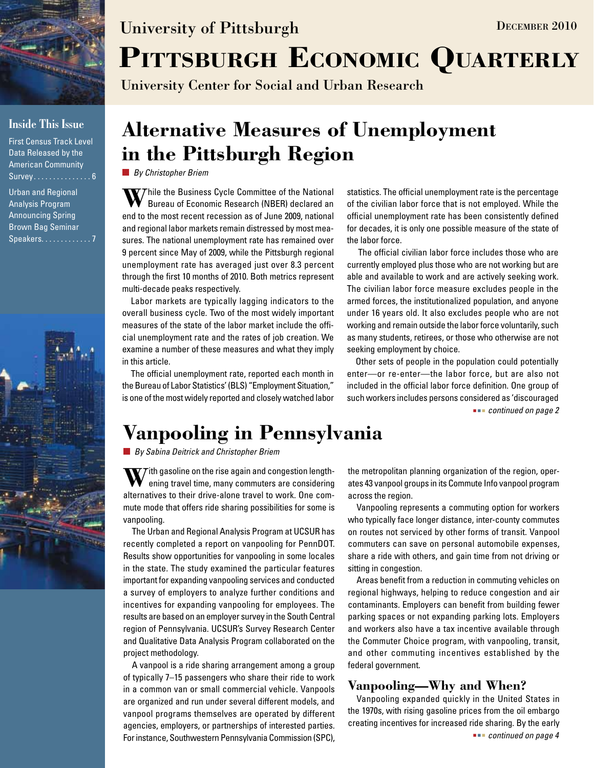

### **Inside This Issue**

First Census Track Level Data Released by the American Community Survey . . . . . . . . . . . . . . 6

Urban and Regional Analysis Program Announcing Spring Brown Bag Seminar Speakers. . . . . . . . . . . . 7



# University of Pittsburgh DECEMBER 2010

## PITTSBURGH ECONOMIC QUARTERLY

University Center for Social and Urban Research

### **Alternative Measures of Unemployment in the Pittsburgh Region**

*By Christopher Briem*

**W** Thile the Business Cycle Committee of the National Bureau of Economic Research (NBER) declared an end to the most recent recession as of June 2009, national and regional labor markets remain distressed by most measures. The national unemployment rate has remained over 9 percent since May of 2009, while the Pittsburgh regional unemployment rate has averaged just over 8.3 percent through the first 10 months of 2010. Both metrics represent multi-decade peaks respectively.

Labor markets are typically lagging indicators to the overall business cycle. Two of the most widely important measures of the state of the labor market include the official unemployment rate and the rates of job creation. We examine a number of these measures and what they imply in this article.

The official unemployment rate, reported each month in the Bureau of Labor Statistics' (BLS) "Employment Situation," is one of the most widely reported and closely watched labor statistics. The official unemployment rate is the percentage of the civilian labor force that is not employed. While the official unemployment rate has been consistently defined for decades, it is only one possible measure of the state of the labor force.

 The official civilian labor force includes those who are currently employed plus those who are not working but are able and available to work and are actively seeking work. The civilian labor force measure excludes people in the armed forces, the institutionalized population, and anyone under 16 years old. It also excludes people who are not working and remain outside the labor force voluntarily, such as many students, retirees, or those who otherwise are not seeking employment by choice.

 *continued on page 2* Other sets of people in the population could potentially enter—or re-enter—the labor force, but are also not included in the official labor force definition. One group of such workers includes persons considered as 'discouraged

### **Vanpooling in Pennsylvania**

*By Sabina Deitrick and Christopher Briem*

 $\nabla$  *T* ith gasoline on the rise again and congestion lengthening travel time, many commuters are considering alternatives to their drive-alone travel to work. One commute mode that offers ride sharing possibilities for some is vanpooling.

The Urban and Regional Analysis Program at UCSUR has recently completed a report on vanpooling for PennDOT. Results show opportunities for vanpooling in some locales in the state. The study examined the particular features important for expanding vanpooling services and conducted a survey of employers to analyze further conditions and incentives for expanding vanpooling for employees. The results are based on an employer survey in the South Central region of Pennsylvania. UCSUR's Survey Research Center and Qualitative Data Analysis Program collaborated on the project methodology.

A vanpool is a ride sharing arrangement among a group of typically 7–15 passengers who share their ride to work in a common van or small commercial vehicle. Vanpools are organized and run under several different models, and vanpool programs themselves are operated by different agencies, employers, or partnerships of interested parties. For instance, Southwestern Pennsylvania Commission (SPC),

the metropolitan planning organization of the region, operates 43 vanpool groups in its Commute Info vanpool program across the region.

Vanpooling represents a commuting option for workers who typically face longer distance, inter-county commutes on routes not serviced by other forms of transit. Vanpool commuters can save on personal automobile expenses, share a ride with others, and gain time from not driving or sitting in congestion.

Areas benefit from a reduction in commuting vehicles on regional highways, helping to reduce congestion and air contaminants. Employers can benefit from building fewer parking spaces or not expanding parking lots. Employers and workers also have a tax incentive available through the Commuter Choice program, with vanpooling, transit, and other commuting incentives established by the federal government.

### **Vanpooling—Why and When?**

Vanpooling expanded quickly in the United States in the 1970s, with rising gasoline prices from the oil embargo creating incentives for increased ride sharing. By the early  *continued on page 4*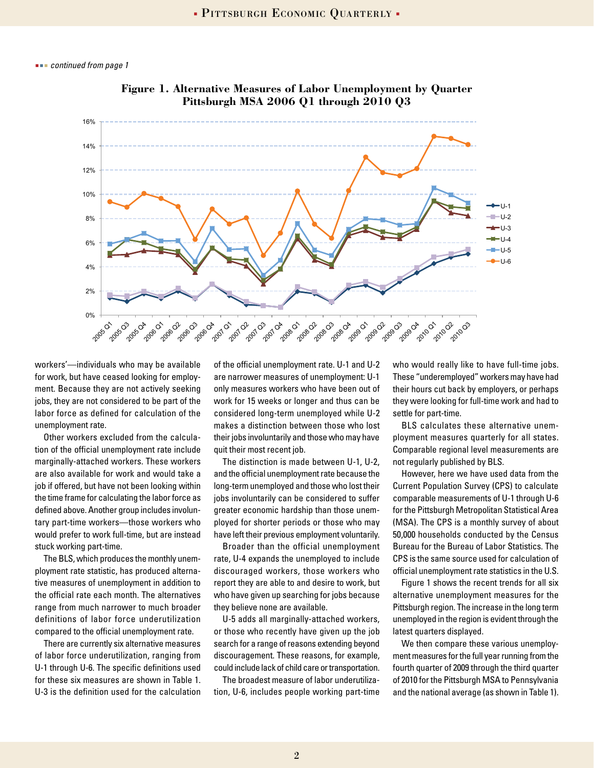*continued from page 1*



**Figure 1. Alternative Measures of Labor Unemployment by Quarter Pittsburgh MSA 2006 Q1 through 2010 Q3**

workers'—individuals who may be available for work, but have ceased looking for employment. Because they are not actively seeking jobs, they are not considered to be part of the labor force as defined for calculation of the unemployment rate.

Other workers excluded from the calculation of the official unemployment rate include marginally-attached workers. These workers are also available for work and would take a job if offered, but have not been looking within the time frame for calculating the labor force as defined above. Another group includes involuntary part-time workers—those workers who would prefer to work full-time, but are instead stuck working part-time.

The BLS, which produces the monthly unemployment rate statistic, has produced alternative measures of unemployment in addition to the official rate each month. The alternatives range from much narrower to much broader definitions of labor force underutilization compared to the official unemployment rate.

There are currently six alternative measures of labor force underutilization, ranging from U-1 through U-6. The specific definitions used for these six measures are shown in Table 1. U-3 is the definition used for the calculation of the official unemployment rate. U-1 and U-2 are narrower measures of unemployment: U-1 only measures workers who have been out of work for 15 weeks or longer and thus can be considered long-term unemployed while U-2 makes a distinction between those who lost their jobs involuntarily and those who may have quit their most recent job.

The distinction is made between U-1, U-2, and the official unemployment rate because the long-term unemployed and those who lost their jobs involuntarily can be considered to suffer greater economic hardship than those unemployed for shorter periods or those who may have left their previous employment voluntarily.

Broader than the official unemployment rate, U-4 expands the unemployed to include discouraged workers, those workers who report they are able to and desire to work, but who have given up searching for jobs because they believe none are available.

U-5 adds all marginally-attached workers, or those who recently have given up the job search for a range of reasons extending beyond discouragement. These reasons, for example, could include lack of child care or transportation.

The broadest measure of labor underutilization, U-6, includes people working part-time who would really like to have full-time jobs. These "underemployed" workers may have had their hours cut back by employers, or perhaps they were looking for full-time work and had to settle for part-time.

BLS calculates these alternative unemployment measures quarterly for all states. Comparable regional level measurements are not regularly published by BLS.

However, here we have used data from the Current Population Survey (CPS) to calculate comparable measurements of U-1 through U-6 for the Pittsburgh Metropolitan Statistical Area (MSA). The CPS is a monthly survey of about 50,000 households conducted by the Census Bureau for the Bureau of Labor Statistics. The CPS is the same source used for calculation of official unemployment rate statistics in the U.S.

Figure 1 shows the recent trends for all six alternative unemployment measures for the Pittsburgh region. The increase in the long term unemployed in the region is evident through the latest quarters displayed.

We then compare these various unemployment measures for the full year running from the fourth quarter of 2009 through the third quarter of 2010 for the Pittsburgh MSA to Pennsylvania and the national average (as shown in Table 1).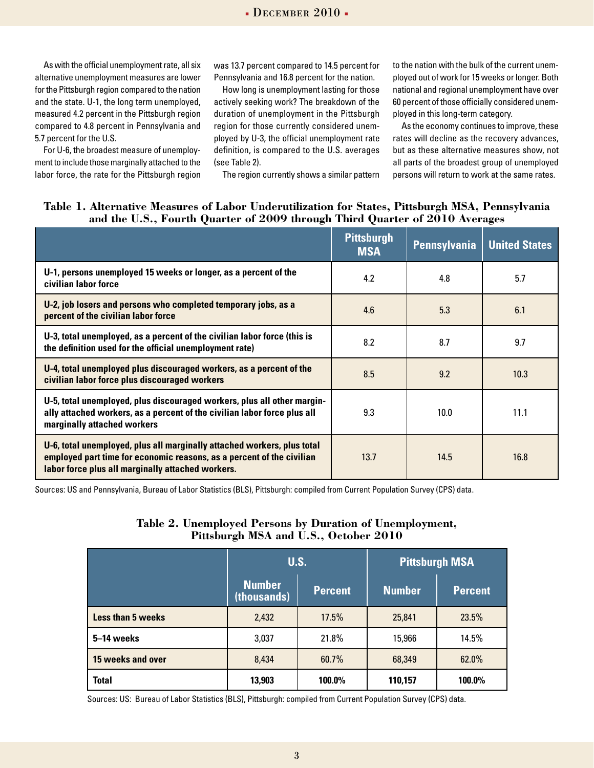As with the official unemployment rate, all six alternative unemployment measures are lower for the Pittsburgh region compared to the nation and the state. U-1, the long term unemployed, measured 4.2 percent in the Pittsburgh region compared to 4.8 percent in Pennsylvania and 5.7 percent for the U.S.

For U-6, the broadest measure of unemployment to include those marginally attached to the labor force, the rate for the Pittsburgh region was 13.7 percent compared to 14.5 percent for Pennsylvania and 16.8 percent for the nation.

How long is unemployment lasting for those actively seeking work? The breakdown of the duration of unemployment in the Pittsburgh region for those currently considered unemployed by U-3, the official unemployment rate definition, is compared to the U.S. averages (see Table 2).

The region currently shows a similar pattern

to the nation with the bulk of the current unemployed out of work for 15 weeks or longer. Both national and regional unemployment have over 60 percent of those officially considered unemployed in this long-term category.

As the economy continues to improve, these rates will decline as the recovery advances, but as these alternative measures show, not all parts of the broadest group of unemployed persons will return to work at the same rates.

#### **Table 1. Alternative Measures of Labor Underutilization for States, Pittsburgh MSA, Pennsylvania and the U.S., Fourth Quarter of 2009 through Third Quarter of 2010 Averages**

|                                                                                                                                                                                                       | <b>Pittsburgh</b><br><b>MSA</b> | <b>Pennsylvania</b> | <b>United States</b> |
|-------------------------------------------------------------------------------------------------------------------------------------------------------------------------------------------------------|---------------------------------|---------------------|----------------------|
| U-1, persons unemployed 15 weeks or longer, as a percent of the<br>civilian labor force                                                                                                               | 4.2                             | 4.8                 | 5.7                  |
| U-2, job losers and persons who completed temporary jobs, as a<br>percent of the civilian labor force                                                                                                 | 4.6                             | 5.3                 | 6.1                  |
| U-3, total unemployed, as a percent of the civilian labor force (this is<br>the definition used for the official unemployment rate)                                                                   | 8.2                             | 8.7                 | 9.7                  |
| U-4, total unemployed plus discouraged workers, as a percent of the<br>civilian labor force plus discouraged workers                                                                                  | 8.5                             | 9.2                 | 10.3                 |
| U-5, total unemployed, plus discouraged workers, plus all other margin-<br>ally attached workers, as a percent of the civilian labor force plus all<br>marginally attached workers                    | 9.3                             | 10.0                | 11.1                 |
| U-6, total unemployed, plus all marginally attached workers, plus total<br>employed part time for economic reasons, as a percent of the civilian<br>labor force plus all marginally attached workers. | 13.7                            | 14.5                | 16.8                 |

Sources: US and Pennsylvania, Bureau of Labor Statistics (BLS), Pittsburgh: compiled from Current Population Survey (CPS) data.

### **Table 2. Unemployed Persons by Duration of Unemployment, Pittsburgh MSA and U.S., October 2010**

|                          | U.S.                         |                | <b>Pittsburgh MSA</b> |                |
|--------------------------|------------------------------|----------------|-----------------------|----------------|
|                          | <b>Number</b><br>(thousands) | <b>Percent</b> | <b>Number</b>         | <b>Percent</b> |
| <b>Less than 5 weeks</b> | 2,432                        | 17.5%          | 25,841                | 23.5%          |
| 5-14 weeks               | 3,037                        | 21.8%          | 15,966                | 14.5%          |
| 15 weeks and over        | 8,434                        | 60.7%          | 68,349                | 62.0%          |
| <b>Total</b>             | 13,903                       | 100.0%         | 110,157               | 100.0%         |

Sources: US: Bureau of Labor Statistics (BLS), Pittsburgh: compiled from Current Population Survey (CPS) data.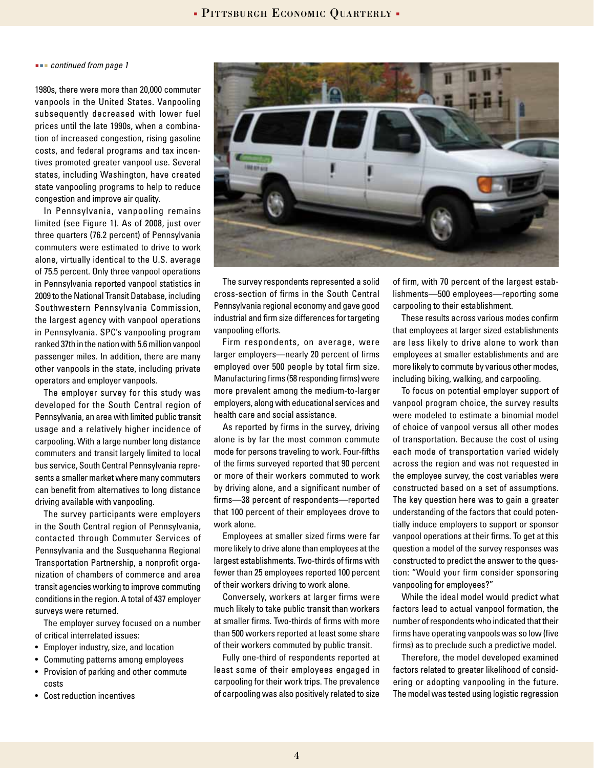*continued from page 1*

1980s, there were more than 20,000 commuter vanpools in the United States. Vanpooling subsequently decreased with lower fuel prices until the late 1990s, when a combination of increased congestion, rising gasoline costs, and federal programs and tax incentives promoted greater vanpool use. Several states, including Washington, have created state vanpooling programs to help to reduce congestion and improve air quality.

In Pennsylvania, vanpooling remains limited (see Figure 1). As of 2008, just over three quarters (76.2 percent) of Pennsylvania commuters were estimated to drive to work alone, virtually identical to the U.S. average of 75.5 percent. Only three vanpool operations in Pennsylvania reported vanpool statistics in 2009 to the National Transit Database, including Southwestern Pennsylvania Commission, the largest agency with vanpool operations in Pennsylvania. SPC's vanpooling program ranked 37th in the nation with 5.6 million vanpool passenger miles. In addition, there are many other vanpools in the state, including private operators and employer vanpools.

The employer survey for this study was developed for the South Central region of Pennsylvania, an area with limited public transit usage and a relatively higher incidence of carpooling. With a large number long distance commuters and transit largely limited to local bus service, South Central Pennsylvania represents a smaller market where many commuters can benefit from alternatives to long distance driving available with vanpooling.

The survey participants were employers in the South Central region of Pennsylvania, contacted through Commuter Services of Pennsylvania and the Susquehanna Regional Transportation Partnership, a nonprofit organization of chambers of commerce and area transit agencies working to improve commuting conditions in the region. A total of 437 employer surveys were returned.

The employer survey focused on a number of critical interrelated issues:

- Employer industry, size, and location
- Commuting patterns among employees
- Provision of parking and other commute costs
- Cost reduction incentives



The survey respondents represented a solid cross-section of firms in the South Central Pennsylvania regional economy and gave good industrial and firm size differences for targeting vanpooling efforts.

Firm respondents, on average, were larger employers—nearly 20 percent of firms employed over 500 people by total firm size. Manufacturing firms (58 responding firms) were more prevalent among the medium-to-larger employers, along with educational services and health care and social assistance.

As reported by firms in the survey, driving alone is by far the most common commute mode for persons traveling to work. Four-fifths of the firms surveyed reported that 90 percent or more of their workers commuted to work by driving alone, and a significant number of firms—38 percent of respondents—reported that 100 percent of their employees drove to work alone.

Employees at smaller sized firms were far more likely to drive alone than employees at the largest establishments. Two-thirds of firms with fewer than 25 employees reported 100 percent of their workers driving to work alone.

Conversely, workers at larger firms were much likely to take public transit than workers at smaller firms. Two-thirds of firms with more than 500 workers reported at least some share of their workers commuted by public transit.

Fully one-third of respondents reported at least some of their employees engaged in carpooling for their work trips. The prevalence of carpooling was also positively related to size

of firm, with 70 percent of the largest establishments—500 employees—reporting some carpooling to their establishment.

These results across various modes confirm that employees at larger sized establishments are less likely to drive alone to work than employees at smaller establishments and are more likely to commute by various other modes, including biking, walking, and carpooling.

To focus on potential employer support of vanpool program choice, the survey results were modeled to estimate a binomial model of choice of vanpool versus all other modes of transportation. Because the cost of using each mode of transportation varied widely across the region and was not requested in the employee survey, the cost variables were constructed based on a set of assumptions. The key question here was to gain a greater understanding of the factors that could potentially induce employers to support or sponsor vanpool operations at their firms. To get at this question a model of the survey responses was constructed to predict the answer to the question: "Would your firm consider sponsoring vanpooling for employees?"

While the ideal model would predict what factors lead to actual vanpool formation, the number of respondents who indicated that their firms have operating vanpools was so low (five firms) as to preclude such a predictive model.

Therefore, the model developed examined factors related to greater likelihood of considering or adopting vanpooling in the future. The model was tested using logistic regression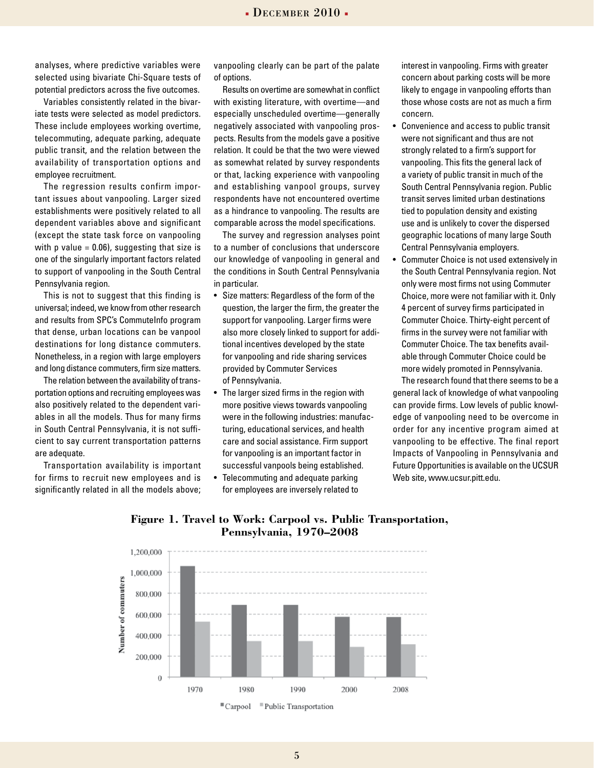analyses, where predictive variables were selected using bivariate Chi-Square tests of potential predictors across the five outcomes.

Variables consistently related in the bivariate tests were selected as model predictors. These include employees working overtime, telecommuting, adequate parking, adequate public transit, and the relation between the availability of transportation options and employee recruitment.

The regression results confirm important issues about vanpooling. Larger sized establishments were positively related to all dependent variables above and significant (except the state task force on vanpooling with p value  $= 0.06$ ), suggesting that size is one of the singularly important factors related to support of vanpooling in the South Central Pennsylvania region.

This is not to suggest that this finding is universal; indeed, we know from other research and results from SPC's CommuteInfo program that dense, urban locations can be vanpool destinations for long distance commuters. Nonetheless, in a region with large employers and long distance commuters, firm size matters.

The relation between the availability of transportation options and recruiting employees was also positively related to the dependent variables in all the models. Thus for many firms in South Central Pennsylvania, it is not sufficient to say current transportation patterns are adequate.

Transportation availability is important for firms to recruit new employees and is significantly related in all the models above; vanpooling clearly can be part of the palate of options.

Results on overtime are somewhat in conflict with existing literature, with overtime—and especially unscheduled overtime—generally negatively associated with vanpooling prospects. Results from the models gave a positive relation. It could be that the two were viewed as somewhat related by survey respondents or that, lacking experience with vanpooling and establishing vanpool groups, survey respondents have not encountered overtime as a hindrance to vanpooling. The results are comparable across the model specifications.

The survey and regression analyses point to a number of conclusions that underscore our knowledge of vanpooling in general and the conditions in South Central Pennsylvania in particular.

- Size matters: Regardless of the form of the question, the larger the firm, the greater the support for vanpooling. Larger firms were also more closely linked to support for additional incentives developed by the state for vanpooling and ride sharing services provided by Commuter Services of Pennsylvania.
- The larger sized firms in the region with more positive views towards vanpooling were in the following industries: manufacturing, educational services, and health care and social assistance. Firm support for vanpooling is an important factor in successful vanpools being established.
- Telecommuting and adequate parking for employees are inversely related to

interest in vanpooling. Firms with greater concern about parking costs will be more likely to engage in vanpooling efforts than those whose costs are not as much a firm concern.

- Convenience and access to public transit were not significant and thus are not strongly related to a firm's support for vanpooling. This fits the general lack of a variety of public transit in much of the South Central Pennsylvania region. Public transit serves limited urban destinations tied to population density and existing use and is unlikely to cover the dispersed geographic locations of many large South Central Pennsylvania employers.
- Commuter Choice is not used extensively in the South Central Pennsylvania region. Not only were most firms not using Commuter Choice, more were not familiar with it. Only 4 percent of survey firms participated in Commuter Choice. Thirty-eight percent of firms in the survey were not familiar with Commuter Choice. The tax benefits available through Commuter Choice could be more widely promoted in Pennsylvania.

The research found that there seems to be a general lack of knowledge of what vanpooling can provide firms. Low levels of public knowledge of vanpooling need to be overcome in order for any incentive program aimed at vanpooling to be effective. The final report Impacts of Vanpooling in Pennsylvania and Future Opportunities is available on the UCSUR Web site, www.ucsur.pitt.edu.



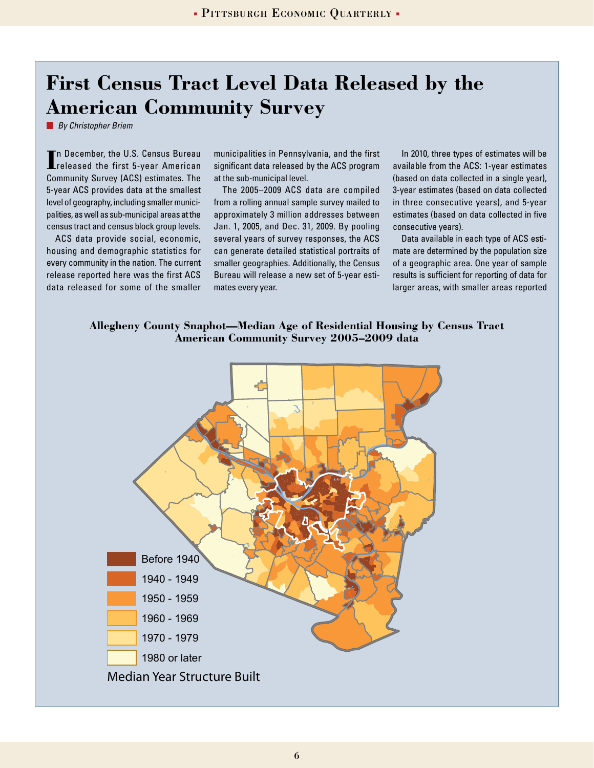### **First Census Tract Level Data Released by the American Community Survey**

*By Christopher Briem*

In December, the U.S. Census Bureau<br> **I** released the first 5-year American n December, the U.S. Census Bureau Community Survey (ACS) estimates. The 5-year ACS provides data at the smallest level of geography, including smaller municipalities, as well as sub-municipal areas at the census tract and census block group levels.

ACS data provide social, economic, housing and demographic statistics for every community in the nation. The current release reported here was the first ACS data released for some of the smaller municipalities in Pennsylvania, and the first significant data released by the ACS program at the sub-municipal level.

The 2005–2009 ACS data are compiled from a rolling annual sample survey mailed to approximately 3 million addresses between Jan. 1, 2005, and Dec. 31, 2009. By pooling several years of survey responses, the ACS can generate detailed statistical portraits of smaller geographies. Additionally, the Census Bureau will release a new set of 5-year estimates every year.

In 2010, three types of estimates will be available from the ACS: 1-year estimates (based on data collected in a single year), 3-year estimates (based on data collected in three consecutive years), and 5-year estimates (based on data collected in five consecutive years).

Data available in each type of ACS estimate are determined by the population size of a geographic area. One year of sample results is sufficient for reporting of data for larger areas, with smaller areas reported

#### **Allegheny County Snaphot—Median Age of Residential Housing by Census Tract American Community Survey 2005–2009 data**

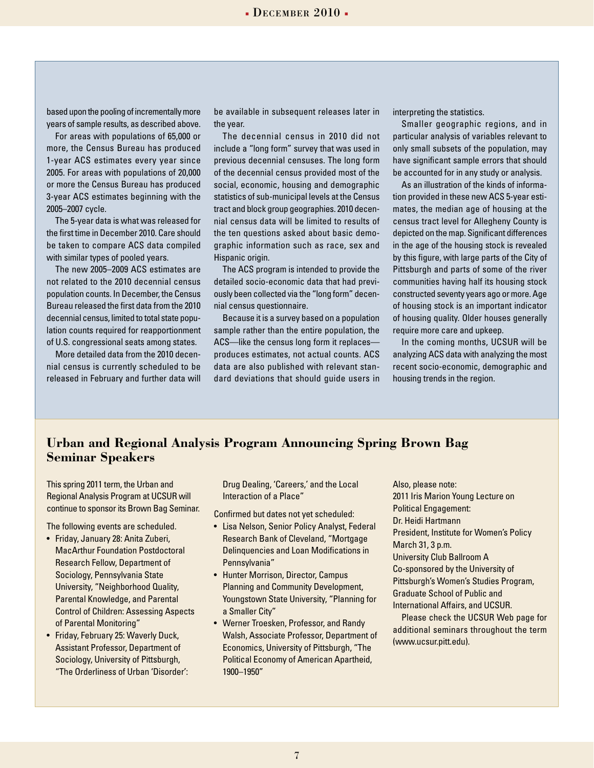$\blacksquare$  Pittsburgh Economic Quarterly  $\blacksquare$  December 2010  $\blacksquare$ 

based upon the pooling of incrementally more years of sample results, as described above.

For areas with populations of 65,000 or more, the Census Bureau has produced 1-year ACS estimates every year since 2005. For areas with populations of 20,000 or more the Census Bureau has produced 3-year ACS estimates beginning with the 2005–2007 cycle.

The 5-year data is what was released for the first time in December 2010. Care should be taken to compare ACS data compiled with similar types of pooled years.

The new 2005–2009 ACS estimates are not related to the 2010 decennial census population counts. In December, the Census Bureau released the first data from the 2010 decennial census, limited to total state population counts required for reapportionment of U.S. congressional seats among states.

More detailed data from the 2010 decennial census is currently scheduled to be released in February and further data will be available in subsequent releases later in the year.

The decennial census in 2010 did not include a "long form" survey that was used in previous decennial censuses. The long form of the decennial census provided most of the social, economic, housing and demographic statistics of sub-municipal levels at the Census tract and block group geographies. 2010 decennial census data will be limited to results of the ten questions asked about basic demographic information such as race, sex and Hispanic origin.

The ACS program is intended to provide the detailed socio-economic data that had previously been collected via the "long form" decennial census questionnaire.

Because it is a survey based on a population sample rather than the entire population, the ACS—like the census long form it replaces produces estimates, not actual counts. ACS data are also published with relevant standard deviations that should guide users in

interpreting the statistics.

Smaller geographic regions, and in particular analysis of variables relevant to only small subsets of the population, may have significant sample errors that should be accounted for in any study or analysis.

As an illustration of the kinds of information provided in these new ACS 5-year estimates, the median age of housing at the census tract level for Allegheny County is depicted on the map. Significant differences in the age of the housing stock is revealed by this figure, with large parts of the City of Pittsburgh and parts of some of the river communities having half its housing stock constructed seventy years ago or more. Age of housing stock is an important indicator of housing quality. Older houses generally require more care and upkeep.

In the coming months, UCSUR will be analyzing ACS data with analyzing the most recent socio-economic, demographic and housing trends in the region.

### **Urban and Regional Analysis Program Announcing Spring Brown Bag Seminar Speakers**

This spring 2011 term, the Urban and Regional Analysis Program at UCSUR will continue to sponsor its Brown Bag Seminar.

The following events are scheduled.

- Friday, January 28: Anita Zuberi, MacArthur Foundation Postdoctoral Research Fellow, Department of Sociology, Pennsylvania State University, "Neighborhood Quality, Parental Knowledge, and Parental Control of Children: Assessing Aspects of Parental Monitoring"
- Friday, February 25: Waverly Duck, Assistant Professor, Department of Sociology, University of Pittsburgh, "The Orderliness of Urban 'Disorder':

Drug Dealing, 'Careers,' and the Local Interaction of a Place"

Confirmed but dates not yet scheduled:

- Lisa Nelson, Senior Policy Analyst, Federal Research Bank of Cleveland, "Mortgage Delinquencies and Loan Modifications in Pennsylvania"
- Hunter Morrison, Director, Campus Planning and Community Development, Youngstown State University, "Planning for a Smaller City"
- Werner Troesken, Professor, and Randy Walsh, Associate Professor, Department of Economics, University of Pittsburgh, "The Political Economy of American Apartheid, 1900–1950"

Also, please note: 2011 Iris Marion Young Lecture on Political Engagement: Dr. Heidi Hartmann President, Institute for Women's Policy March 31, 3 p.m. University Club Ballroom A Co-sponsored by the University of Pittsburgh's Women's Studies Program, Graduate School of Public and International Affairs, and UCSUR. Please check the UCSUR Web page for additional seminars throughout the term (www.ucsur.pitt.edu).